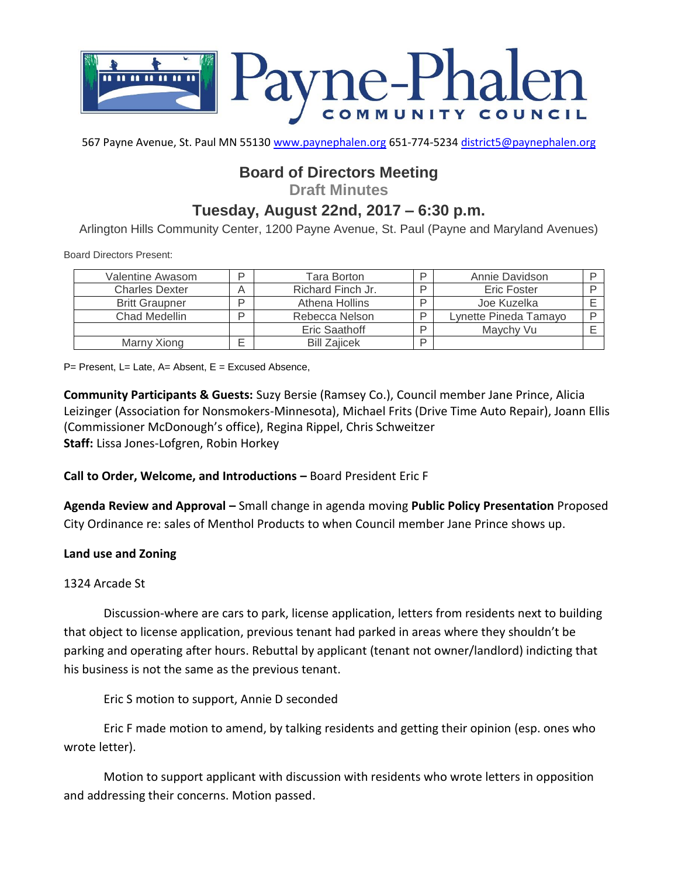

567 Payne Avenue, St. Paul MN 55130 [www.paynephalen.org](http://www.paynephalen.org/) 651-774-5234 [district5@paynephalen.org](mailto:district5@paynephalen.org)

# **Board of Directors Meeting**

**Draft Minutes**

# **Tuesday, August 22nd, 2017 – 6:30 p.m.**

Arlington Hills Community Center, 1200 Payne Avenue, St. Paul (Payne and Maryland Avenues)

Board Directors Present:

| Valentine Awasom      | D | Tara Borton         | ם | Annie Davidson        |  |
|-----------------------|---|---------------------|---|-----------------------|--|
| <b>Charles Dexter</b> |   | Richard Finch Jr.   | ם | Eric Foster           |  |
| <b>Britt Graupner</b> | ח | Athena Hollins      | D | Joe Kuzelka           |  |
| Chad Medellin         | ח | Rebecca Nelson      | D | Lynette Pineda Tamayo |  |
|                       |   | Eric Saathoff       | D | Maychy Vu             |  |
| Marny Xiong           |   | <b>Bill Zaiicek</b> | D |                       |  |

 $P=$  Present, L= Late, A= Absent, E = Excused Absence,

**Community Participants & Guests:** Suzy Bersie (Ramsey Co.), Council member Jane Prince, Alicia Leizinger (Association for Nonsmokers-Minnesota), Michael Frits (Drive Time Auto Repair), Joann Ellis (Commissioner McDonough's office), Regina Rippel, Chris Schweitzer **Staff:** Lissa Jones-Lofgren, Robin Horkey

**Call to Order, Welcome, and Introductions –** Board President Eric F

**Agenda Review and Approval –** Small change in agenda moving **Public Policy Presentation** Proposed City Ordinance re: sales of Menthol Products to when Council member Jane Prince shows up.

#### **Land use and Zoning**

#### 1324 Arcade St

Discussion-where are cars to park, license application, letters from residents next to building that object to license application, previous tenant had parked in areas where they shouldn't be parking and operating after hours. Rebuttal by applicant (tenant not owner/landlord) indicting that his business is not the same as the previous tenant.

Eric S motion to support, Annie D seconded

Eric F made motion to amend, by talking residents and getting their opinion (esp. ones who wrote letter).

Motion to support applicant with discussion with residents who wrote letters in opposition and addressing their concerns. Motion passed.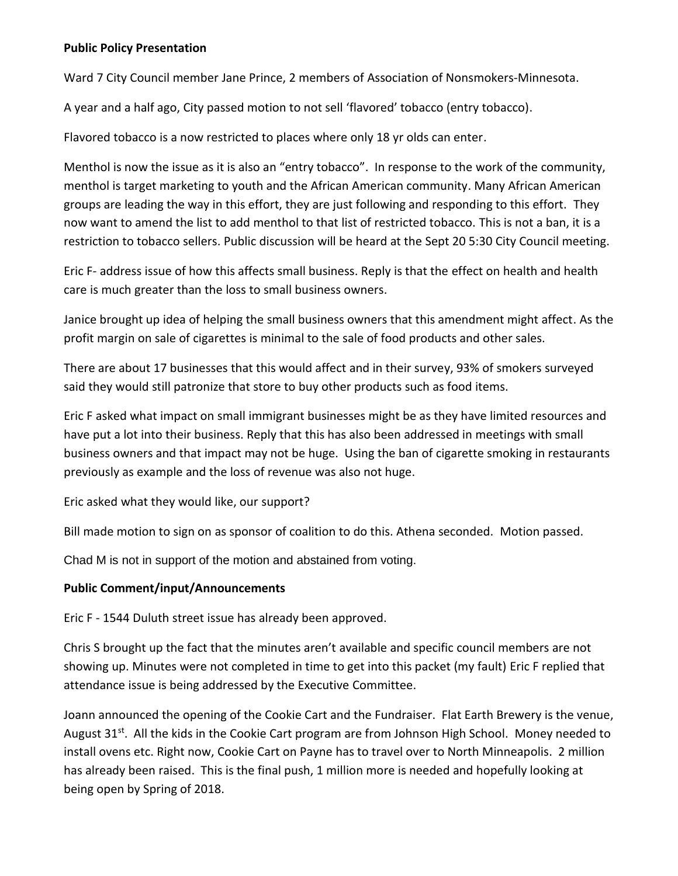#### **Public Policy Presentation**

Ward 7 City Council member Jane Prince, 2 members of Association of Nonsmokers-Minnesota.

A year and a half ago, City passed motion to not sell 'flavored' tobacco (entry tobacco).

Flavored tobacco is a now restricted to places where only 18 yr olds can enter.

Menthol is now the issue as it is also an "entry tobacco". In response to the work of the community, menthol is target marketing to youth and the African American community. Many African American groups are leading the way in this effort, they are just following and responding to this effort. They now want to amend the list to add menthol to that list of restricted tobacco. This is not a ban, it is a restriction to tobacco sellers. Public discussion will be heard at the Sept 20 5:30 City Council meeting.

Eric F- address issue of how this affects small business. Reply is that the effect on health and health care is much greater than the loss to small business owners.

Janice brought up idea of helping the small business owners that this amendment might affect. As the profit margin on sale of cigarettes is minimal to the sale of food products and other sales.

There are about 17 businesses that this would affect and in their survey, 93% of smokers surveyed said they would still patronize that store to buy other products such as food items.

Eric F asked what impact on small immigrant businesses might be as they have limited resources and have put a lot into their business. Reply that this has also been addressed in meetings with small business owners and that impact may not be huge. Using the ban of cigarette smoking in restaurants previously as example and the loss of revenue was also not huge.

Eric asked what they would like, our support?

Bill made motion to sign on as sponsor of coalition to do this. Athena seconded. Motion passed.

Chad M is not in support of the motion and abstained from voting.

### **Public Comment/input/Announcements**

Eric F - 1544 Duluth street issue has already been approved.

Chris S brought up the fact that the minutes aren't available and specific council members are not showing up. Minutes were not completed in time to get into this packet (my fault) Eric F replied that attendance issue is being addressed by the Executive Committee.

Joann announced the opening of the Cookie Cart and the Fundraiser. Flat Earth Brewery is the venue, August 31<sup>st</sup>. All the kids in the Cookie Cart program are from Johnson High School. Money needed to install ovens etc. Right now, Cookie Cart on Payne has to travel over to North Minneapolis. 2 million has already been raised. This is the final push, 1 million more is needed and hopefully looking at being open by Spring of 2018.